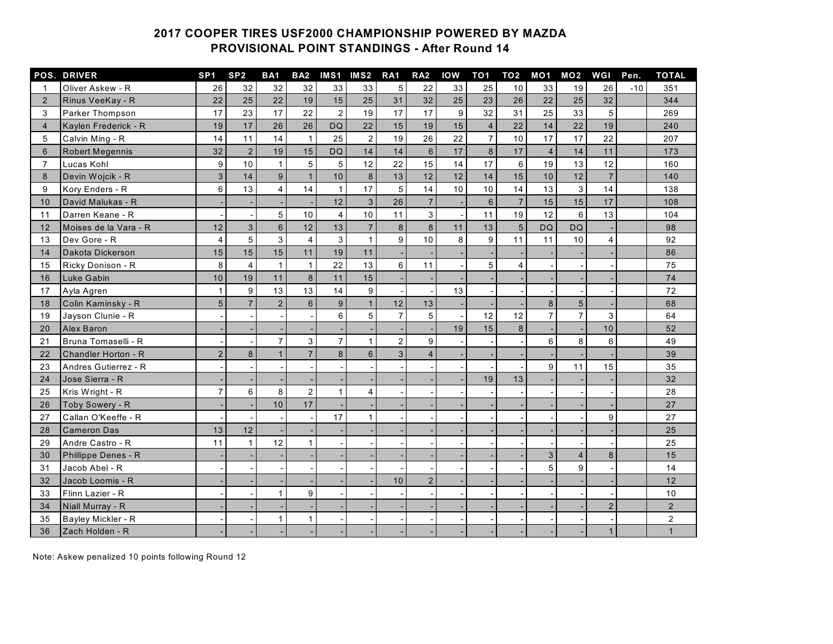## **COOPER TIRES USF2000 CHAMPIONSHIP POWERED BY MAZDA PROVISIONAL POINT STANDINGS - After Round 14**

|                | <b>POS. DRIVER</b>     | SP <sub>1</sub> | SP <sub>2</sub> | <b>BA1</b>      | BA <sub>2</sub> |                 | IMS1 IMS2 RA1    |                | RA <sub>2</sub> | <b>IOW</b> | TO <sub>1</sub>  | TO <sub>2</sub> |                | <b>MO1 MO2</b> | <b>WGI</b>     | Pen.  | <b>TOTAL</b>            |
|----------------|------------------------|-----------------|-----------------|-----------------|-----------------|-----------------|------------------|----------------|-----------------|------------|------------------|-----------------|----------------|----------------|----------------|-------|-------------------------|
| 1              | Oliver Askew - R       | 26              | 32              | 32              | 32              | 33              | 33               | 5              | 22              | 33         | 25               | 10              | 33             | 19             | 26             | $-10$ | 351                     |
| $\overline{2}$ | Rinus VeeKay - R       | 22              | 25              | 22              | 19              | 15              | 25               | 31             | 32              | 25         | 23               | 26              | 22             | 25             | 32             |       | 344                     |
| 3              | <b>Parker Thompson</b> | 17              | 23              | 17              | 22              | 2               | 19               | 17             | 17              | 9          | 32               | 31              | 25             | 33             | 5              |       | 269                     |
| $\overline{4}$ | Kaylen Frederick - R   | 19              | 17              | 26              | 26              | <b>DQ</b>       | 22               | 15             | 19              | 15         | $\overline{4}$   | 22              | 14             | 22             | 19             |       | 240                     |
| 5              | Calvin Ming - R        | 14              | 11              | 14              | $\mathbf{1}$    | 25              | $\overline{2}$   | 19             | 26              | 22         | $\overline{7}$   | 10              | 17             | 17             | 22             |       | 207                     |
| 6              | <b>Robert Megennis</b> | 32              | $\overline{2}$  | 19              | 15              | <b>DQ</b>       | 14               | 14             | $6\phantom{a}$  | 17         | $\boldsymbol{8}$ | 17              | $\overline{4}$ | 14             | 11             |       | 173                     |
| $\overline{7}$ | Lucas Kohl             | 9               | 10              | $\mathbf{1}$    | 5               | $5\phantom{.0}$ | 12               | 22             | 15              | 14         | 17               | 6               | 19             | 13             | 12             |       | 160                     |
| 8              | Devin Wojcik - R       | 3               | 14              | $\overline{9}$  | $\mathbf{1}$    | 10              | $\bf{8}$         | 13             | 12              | 12         | 14               | 15              | 10             | 12             | $\overline{7}$ |       | 140                     |
| 9              | Kory Enders - R        | 6               | 13              | $\overline{4}$  | 14              | $\mathbf{1}$    | 17               | 5              | 14              | 10         | 10               | 14              | 13             | $\mathbf{3}$   | 14             |       | 138                     |
| 10             | David Malukas - R      |                 |                 |                 |                 | 12              | $\mathbf{3}$     | 26             | $\overline{7}$  |            | $6\phantom{1}$   | $\overline{7}$  | 15             | 15             | 17             |       | 108                     |
| 11             | Darren Keane - R       |                 |                 | 5               | 10 <sup>1</sup> | $\overline{4}$  | 10               | 11             | 3               |            | 11               | 19              | 12             | 6              | 13             |       | 104                     |
| 12             | Moises de la Vara - R  | 12              | $\mathbf{3}$    | $6\overline{6}$ | 12              | 13              | $\overline{7}$   | 8              | 8               | 11         | 13               | $5\phantom{.}$  | <b>DQ</b>      | <b>DQ</b>      |                |       | 98                      |
| 13             | Dev Gore - R           | $\overline{4}$  | $\overline{5}$  | $\overline{3}$  | $\overline{4}$  | 3               | $\mathbf{1}$     | 9              | 10              | 8          | 9                | 11              | 11             | 10             | $\overline{4}$ |       | 92                      |
| 14             | Dakota Dickerson       | 15              | 15              | 15              | 11              | 19              | 11               |                |                 |            |                  |                 |                |                |                |       | 86                      |
| 15             | Ricky Donison - R      | 8               | $\overline{4}$  | $\mathbf{1}$    | $\mathbf{1}$    | 22              | 13               | 6              | 11              |            | 5                | 4               |                |                |                |       | 75                      |
| 16             | Luke Gabin             | 10              | 19              | 11              | 8               | 11              | 15               |                |                 |            |                  |                 |                |                |                |       | 74                      |
| 17             | Ayla Agren             | $\mathbf{1}$    | 9               | 13              | 13              | 14              | 9                |                |                 | 13         |                  |                 |                |                |                |       | 72                      |
| 18             | Colin Kaminsky - R     | 5               | $\overline{7}$  | $\overline{2}$  | 6               | 9               | $\mathbf{1}$     | 12             | 13              |            |                  |                 | 8              | 5              |                |       | 68                      |
| 19             | Jayson Clunie - R      |                 |                 |                 |                 | 6               | 5                | $\overline{7}$ | 5               |            | 12               | 12              | $\overline{7}$ | $\overline{7}$ | 3              |       | 64                      |
| 20             | <b>Alex Baron</b>      |                 |                 |                 |                 |                 |                  |                |                 | 19         | 15               | 8               |                |                | 10             |       | 52                      |
| 21             | Bruna Tomaselli - R    |                 |                 | $\overline{7}$  | 3               | $\overline{7}$  | $\mathbf{1}$     | $\overline{2}$ | 9               |            |                  |                 | 6              | 8              | 6              |       | 49                      |
| 22             | Chandler Horton - R    | $\overline{2}$  | 8               | $\mathbf{1}$    | $\overline{7}$  | 8               | $6 \overline{6}$ | 3              | $\overline{4}$  |            |                  |                 |                |                |                |       | 39                      |
| 23             | Andres Gutierrez - R   |                 |                 |                 |                 |                 |                  |                |                 |            |                  |                 | 9              | 11             | 15             |       | 35                      |
| 24             | Jose Sierra - R        |                 |                 |                 |                 |                 |                  |                |                 |            | 19               | 13              |                |                |                |       | 32                      |
| 25             | Kris Wright - R        | 7               | 6               | 8               | $\overline{2}$  | 1               | $\overline{4}$   |                |                 |            |                  |                 |                |                |                |       | 28                      |
| 26             | Toby Sowery - R        |                 |                 | 10              | 17              |                 |                  |                |                 |            |                  |                 |                |                |                |       | 27                      |
| 27             | Callan O'Keeffe - R    |                 |                 |                 |                 | 17              | $\mathbf{1}$     |                |                 |            |                  |                 |                |                | 9              |       | 27                      |
| 28             | <b>Cameron Das</b>     | 13              | 12              |                 |                 |                 |                  |                |                 |            |                  |                 |                |                |                |       | 25                      |
| 29             | Andre Castro - R       | 11              | $\mathbf{1}$    | 12              | $\mathbf{1}$    |                 |                  |                |                 |            |                  |                 |                |                |                |       | 25                      |
| 30             | Phillippe Denes - R    |                 |                 |                 |                 |                 |                  |                |                 |            |                  |                 | 3              | $\overline{4}$ | 8              |       | 15                      |
| 31             | Jacob Abel - R         |                 |                 |                 |                 |                 |                  |                |                 |            |                  |                 | 5              | 9              |                |       | 14                      |
| 32             | Jacob Loomis - R       |                 |                 |                 |                 |                 |                  | 10             | 2               |            |                  |                 |                |                |                |       | 12                      |
| 33             | Flinn Lazier - R       |                 |                 | 1               | 9               |                 |                  |                |                 |            |                  |                 |                |                |                |       | 10                      |
| 34             | Niall Murray - R       |                 |                 |                 |                 |                 |                  |                |                 |            |                  |                 |                |                | $\overline{2}$ |       | $\overline{2}$          |
| 35             | Bayley Mickler - R     |                 |                 | 1               | $\mathbf{1}$    |                 |                  |                |                 |            |                  |                 |                |                |                |       | $\overline{\mathbf{c}}$ |
| 36             | Zach Holden - R        |                 |                 |                 |                 |                 |                  |                |                 |            |                  |                 |                |                | $\mathbf{1}$   |       | $\mathbf{1}$            |

Note: Askew penalized 10 points following Round 12